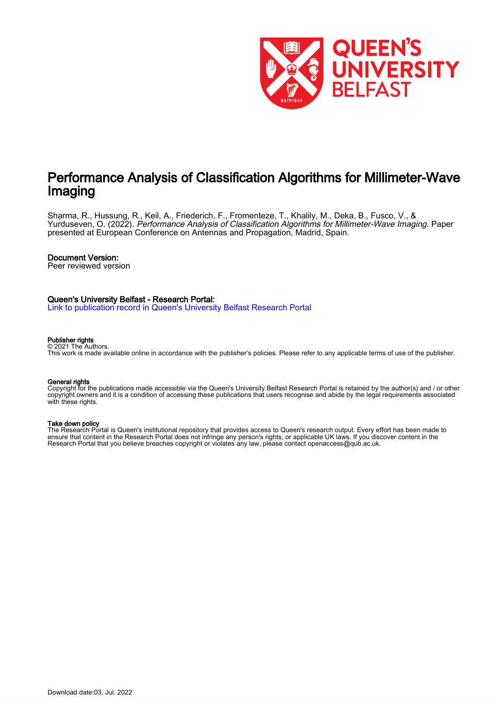

# Performance Analysis of Classification Algorithms for Millimeter-Wave Imaging

Sharma, R., Hussung, R., Keil, A., Friederich, F., Fromenteze, T., Khalily, M., Deka, B., Fusco, V., & Yurduseven, O. (2022). Performance Analysis of Classification Algorithms for Millimeter-Wave Imaging. Paper presented at European Conference on Antennas and Propagation, Madrid, Spain.

# Document Version:

Peer reviewed version

# Queen's University Belfast - Research Portal:

[Link to publication record in Queen's University Belfast Research Portal](https://pure.qub.ac.uk/en/publications/6fc053f0-8a66-498a-a754-ee72034294d8)

#### Publisher rights © 2021 The Authors.

This work is made available online in accordance with the publisher's policies. Please refer to any applicable terms of use of the publisher.

#### General rights

Copyright for the publications made accessible via the Queen's University Belfast Research Portal is retained by the author(s) and / or other copyright owners and it is a condition of accessing these publications that users recognise and abide by the legal requirements associated with these rights.

#### Take down policy

The Research Portal is Queen's institutional repository that provides access to Queen's research output. Every effort has been made to ensure that content in the Research Portal does not infringe any person's rights, or applicable UK laws. If you discover content in the Research Portal that you believe breaches copyright or violates any law, please contact openaccess@qub.ac.uk.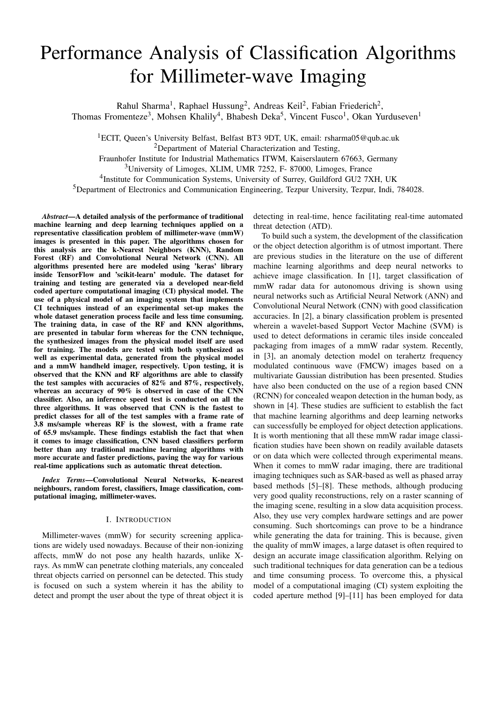# Performance Analysis of Classification Algorithms for Millimeter-wave Imaging

Rahul Sharma<sup>1</sup>, Raphael Hussung<sup>2</sup>, Andreas Keil<sup>2</sup>, Fabian Friederich<sup>2</sup>, Thomas Fromenteze<sup>3</sup>, Mohsen Khalily<sup>4</sup>, Bhabesh Deka<sup>5</sup>, Vincent Fusco<sup>1</sup>, Okan Yurduseven<sup>1</sup>

<sup>1</sup>ECIT, Queen's University Belfast, Belfast BT3 9DT, UK, email: rsharma05@qub.ac.uk <sup>2</sup>Department of Material Characterization and Testing,

Fraunhofer Institute for Industrial Mathematics ITWM, Kaiserslautern 67663, Germany

<sup>3</sup>University of Limoges, XLIM, UMR 7252, F- 87000, Limoges, France

<sup>4</sup>Institute for Communication Systems, University of Surrey, Guildford GU2 7XH, UK

<sup>5</sup>Department of Electronics and Communication Engineering, Tezpur University, Tezpur, Indi, 784028.

*Abstract*—A detailed analysis of the performance of traditional machine learning and deep learning techniques applied on a representative classification problem of millimeter-wave (mmW) images is presented in this paper. The algorithms chosen for this analysis are the k-Nearest Neighbors (KNN), Random Forest (RF) and Convolutional Neural Network (CNN). All algorithms presented here are modeled using 'keras' library inside TensorFlow and 'scikit-learn' module. The dataset for training and testing are generated via a developed near-field coded aperture computational imaging (CI) physical model. The use of a physical model of an imaging system that implements CI techniques instead of an experimental set-up makes the whole dataset generation process facile and less time consuming. The training data, in case of the RF and KNN algorithms, are presented in tabular form whereas for the CNN technique, the synthesized images from the physical model itself are used for training. The models are tested with both synthesized as well as experimental data, generated from the physical model and a mmW handheld imager, respectively. Upon testing, it is observed that the KNN and RF algorithms are able to classify the test samples with accuracies of 82% and 87%, respectively, whereas an accuracy of 90% is observed in case of the CNN classifier. Also, an inference speed test is conducted on all the three algorithms. It was observed that CNN is the fastest to predict classes for all of the test samples with a frame rate of 3.8 ms/sample whereas RF is the slowest, with a frame rate of 65.9 ms/sample. These findings establish the fact that when it comes to image classification, CNN based classifiers perform better than any traditional machine learning algorithms with more accurate and faster predictions, paving the way for various real-time applications such as automatic threat detection.

*Index Terms*—Convolutional Neural Networks, K-nearest neighbours, random forest, classifiers, Image classification, computational imaging, millimeter-waves.

### I. INTRODUCTION

Millimeter-waves (mmW) for security screening applications are widely used nowadays. Because of their non-ionizing affects, mmW do not pose any health hazards, unlike Xrays. As mmW can penetrate clothing materials, any concealed threat objects carried on personnel can be detected. This study is focused on such a system wherein it has the ability to detect and prompt the user about the type of threat object it is

detecting in real-time, hence facilitating real-time automated threat detection (ATD).

To build such a system, the development of the classification or the object detection algorithm is of utmost important. There are previous studies in the literature on the use of different machine learning algorithms and deep neural networks to achieve image classification. In [1], target classification of mmW radar data for autonomous driving is shown using neural networks such as Artificial Neural Network (ANN) and Convolutional Neural Network (CNN) with good classification accuracies. In [2], a binary classification problem is presented wherein a wavelet-based Support Vector Machine (SVM) is used to detect deformations in ceramic tiles inside concealed packaging from images of a mmW radar system. Recently, in [3], an anomaly detection model on terahertz frequency modulated continuous wave (FMCW) images based on a multivariate Gaussian distribution has been presented. Studies have also been conducted on the use of a region based CNN (RCNN) for concealed weapon detection in the human body, as shown in [4]. These studies are sufficient to establish the fact that machine learning algorithms and deep learning networks can successfully be employed for object detection applications. It is worth mentioning that all these mmW radar image classification studies have been shown on readily available datasets or on data which were collected through experimental means. When it comes to mmW radar imaging, there are traditional imaging techniques such as SAR-based as well as phased array based methods [5]–[8]. These methods, although producing very good quality reconstructions, rely on a raster scanning of the imaging scene, resulting in a slow data acquisition process. Also, they use very complex hardware settings and are power consuming. Such shortcomings can prove to be a hindrance while generating the data for training. This is because, given the quality of mmW images, a large dataset is often required to design an accurate image classification algorithm. Relying on such traditional techniques for data generation can be a tedious and time consuming process. To overcome this, a physical model of a computational imaging (CI) system exploiting the coded aperture method [9]–[11] has been employed for data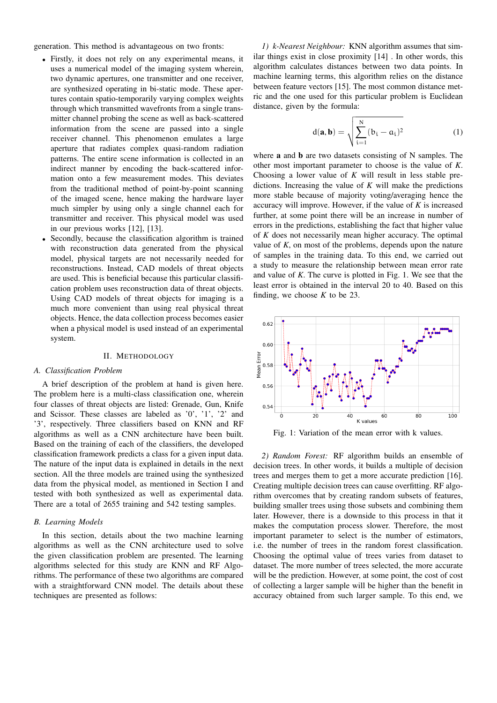generation. This method is advantageous on two fronts:

- Firstly, it does not rely on any experimental means, it uses a numerical model of the imaging system wherein, two dynamic apertures, one transmitter and one receiver, are synthesized operating in bi-static mode. These apertures contain spatio-temporarily varying complex weights through which transmitted wavefronts from a single transmitter channel probing the scene as well as back-scattered information from the scene are passed into a single receiver channel. This phenomenon emulates a large aperture that radiates complex quasi-random radiation patterns. The entire scene information is collected in an indirect manner by encoding the back-scattered information onto a few measurement modes. This deviates from the traditional method of point-by-point scanning of the imaged scene, hence making the hardware layer much simpler by using only a single channel each for transmitter and receiver. This physical model was used in our previous works [12], [13].
- Secondly, because the classification algorithm is trained with reconstruction data generated from the physical model, physical targets are not necessarily needed for reconstructions. Instead, CAD models of threat objects are used. This is beneficial because this particular classification problem uses reconstruction data of threat objects. Using CAD models of threat objects for imaging is a much more convenient than using real physical threat objects. Hence, the data collection process becomes easier when a physical model is used instead of an experimental system.

### II. METHODOLOGY

#### *A. Classification Problem*

A brief description of the problem at hand is given here. The problem here is a multi-class classification one, wherein four classes of threat objects are listed: Grenade, Gun, Knife and Scissor. These classes are labeled as '0', '1', '2' and '3', respectively. Three classifiers based on KNN and RF algorithms as well as a CNN architecture have been built. Based on the training of each of the classifiers, the developed classification framework predicts a class for a given input data. The nature of the input data is explained in details in the next section. All the three models are trained using the synthesized data from the physical model, as mentioned in Section I and tested with both synthesized as well as experimental data. There are a total of 2655 training and 542 testing samples.

#### *B. Learning Models*

In this section, details about the two machine learning algorithms as well as the CNN architecture used to solve the given classification problem are presented. The learning algorithms selected for this study are KNN and RF Algorithms. The performance of these two algorithms are compared with a straightforward CNN model. The details about these techniques are presented as follows:

*1) k-Nearest Neighbour:* KNN algorithm assumes that similar things exist in close proximity [14] . In other words, this algorithm calculates distances between two data points. In machine learning terms, this algorithm relies on the distance between feature vectors [15]. The most common distance metric and the one used for this particular problem is Euclidean distance, given by the formula:

$$
d(\mathbf{a}, \mathbf{b}) = \sqrt{\sum_{i=1}^{N} (b_i - a_i)^2}
$$
 (1)

where a and b are two datasets consisting of N samples. The other most important parameter to choose is the value of *K*. Choosing a lower value of *K* will result in less stable predictions. Increasing the value of *K* will make the predictions more stable because of majority voting/averaging hence the accuracy will improve. However, if the value of *K* is increased further, at some point there will be an increase in number of errors in the predictions, establishing the fact that higher value of *K* does not necessarily mean higher accuracy. The optimal value of *K*, on most of the problems, depends upon the nature of samples in the training data. To this end, we carried out a study to measure the relationship between mean error rate and value of *K*. The curve is plotted in Fig. 1. We see that the least error is obtained in the interval 20 to 40. Based on this finding, we choose  $K$  to be 23.



Fig. 1: Variation of the mean error with k values.

*2) Random Forest:* RF algorithm builds an ensemble of decision trees. In other words, it builds a multiple of decision trees and merges them to get a more accurate prediction [16]. Creating multiple decision trees can cause overfitting. RF algorithm overcomes that by creating random subsets of features, building smaller trees using those subsets and combining them later. However, there is a downside to this process in that it makes the computation process slower. Therefore, the most important parameter to select is the number of estimators, i.e. the number of trees in the random forest classification. Choosing the optimal value of trees varies from dataset to dataset. The more number of trees selected, the more accurate will be the prediction. However, at some point, the cost of cost of collecting a larger sample will be higher than the benefit in accuracy obtained from such larger sample. To this end, we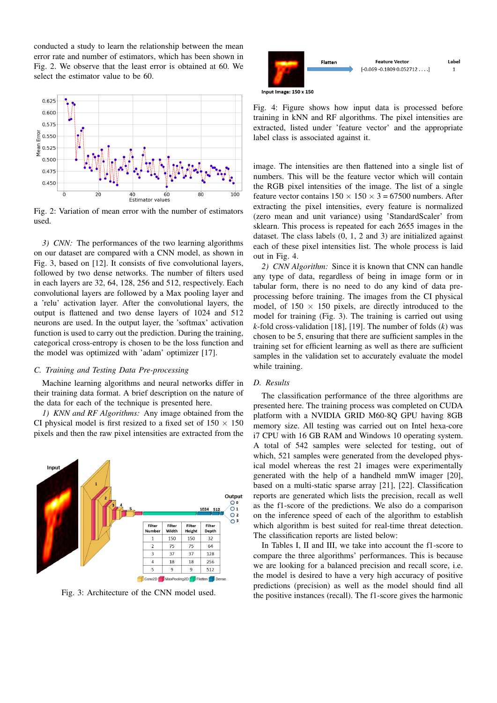conducted a study to learn the relationship between the mean error rate and number of estimators, which has been shown in Fig. 2. We observe that the least error is obtained at 60. We select the estimator value to be 60.



Fig. 2: Variation of mean error with the number of estimators used.

*3) CNN:* The performances of the two learning algorithms on our dataset are compared with a CNN model, as shown in Fig. 3, based on [12]. It consists of five convolutional layers, followed by two dense networks. The number of filters used in each layers are 32, 64, 128, 256 and 512, respectively. Each convolutional layers are followed by a Max pooling layer and a 'relu' activation layer. After the convolutional layers, the output is flattened and two dense layers of 1024 and 512 neurons are used. In the output layer, the 'softmax' activation function is used to carry out the prediction. During the training, categorical cross-entropy is chosen to be the loss function and the model was optimized with 'adam' optimizer [17].

# *C. Training and Testing Data Pre-processing*

Machine learning algorithms and neural networks differ in their training data format. A brief description on the nature of the data for each of the technique is presented here.

*1) KNN and RF Algorithms:* Any image obtained from the CI physical model is first resized to a fixed set of  $150 \times 150$ pixels and then the raw pixel intensities are extracted from the



Fig. 3: Architecture of the CNN model used.



Fig. 4: Figure shows how input data is processed before training in kNN and RF algorithms. The pixel intensities are extracted, listed under 'feature vector' and the appropriate label class is associated against it.

image. The intensities are then flattened into a single list of numbers. This will be the feature vector which will contain the RGB pixel intensities of the image. The list of a single feature vector contains  $150 \times 150 \times 3 = 67500$  numbers. After extracting the pixel intensities, every feature is normalized (zero mean and unit variance) using 'StandardScaler' from sklearn. This process is repeated for each 2655 images in the dataset. The class labels (0, 1, 2 and 3) are initialized against each of these pixel intensities list. The whole process is laid out in Fig. 4.

*2) CNN Algorithm:* Since it is known that CNN can handle any type of data, regardless of being in image form or in tabular form, there is no need to do any kind of data preprocessing before training. The images from the CI physical model, of  $150 \times 150$  pixels, are directly introduced to the model for training (Fig. 3). The training is carried out using *k*-fold cross-validation [18], [19]. The number of folds (*k*) was chosen to be 5, ensuring that there are sufficient samples in the training set for efficient learning as well as there are sufficient samples in the validation set to accurately evaluate the model while training.

# *D. Results*

The classification performance of the three algorithms are presented here. The training process was completed on CUDA platform with a NVIDIA GRID M60-8Q GPU having 8GB memory size. All testing was carried out on Intel hexa-core i7 CPU with 16 GB RAM and Windows 10 operating system. A total of 542 samples were selected for testing, out of which, 521 samples were generated from the developed physical model whereas the rest 21 images were experimentally generated with the help of a handheld mmW imager [20], based on a multi-static sparse array [21], [22]. Classification reports are generated which lists the precision, recall as well as the f1-score of the predictions. We also do a comparison on the inference speed of each of the algorithm to establish which algorithm is best suited for real-time threat detection. The classification reports are listed below:

In Tables I, II and III, we take into account the f1-score to compare the three algorithms' performances. This is because we are looking for a balanced precision and recall score, i.e. the model is desired to have a very high accuracy of positive predictions (precision) as well as the model should find all the positive instances (recall). The f1-score gives the harmonic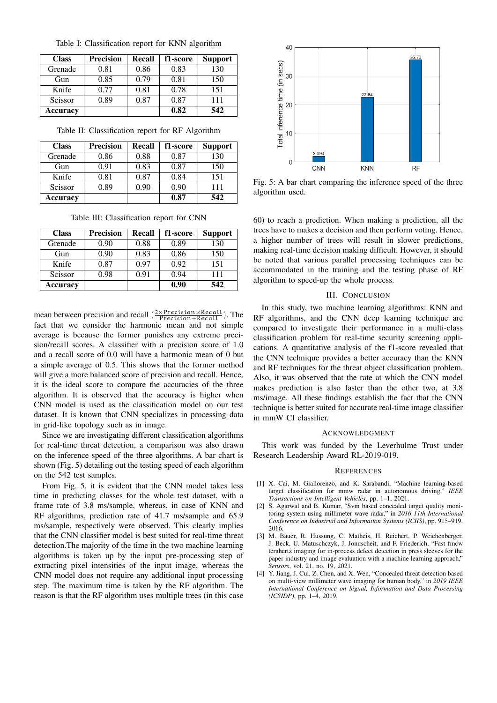| <b>Class</b> | <b>Precision</b> | Recall | f1-score | <b>Support</b> |
|--------------|------------------|--------|----------|----------------|
| Grenade      | 0.81             | 0.86   | 0.83     | 130            |
| Gun          | 0.85             | 0.79   | 0.81     | 150            |
| Knife        | 0.77             | 0.81   | 0.78     | 151            |
| Scissor      | 0.89             | 0.87   | 0.87     | 111            |
| Accuracy     |                  |        | 0.82     | 542            |

Table II: Classification report for RF Algorithm

| <b>Class</b> | <b>Precision</b> | Recall | f1-score | <b>Support</b> |
|--------------|------------------|--------|----------|----------------|
| Grenade      | 0.86             | 0.88   | 0.87     | 130            |
| Gun          | 0.91             | 0.83   | 0.87     | 150            |
| Knife        | 0.81             | 0.87   | 0.84     | 151            |
| Scissor      | 0.89             | 0.90   | 0.90     | 111            |
| Accuracy     |                  |        | 0.87     | 542            |

Table III: Classification report for CNN

| <b>Class</b> | <b>Precision</b> | <b>Recall</b> | f1-score | <b>Support</b> |
|--------------|------------------|---------------|----------|----------------|
| Grenade      | 0.90             | 0.88          | 0.89     | 130            |
| Gun          | 0.90             | 0.83          | 0.86     | 150            |
| Knife        | 0.87             | 0.97          | 0.92     | 151            |
| Scissor      | 0.98             | 0.91          | 0.94     | 111            |
| Accuracy     |                  |               | 0.90     | 542            |

mean between precision and recall  $\left(\frac{2 \times \text{Precision} \times \text{Recall}}{\text{Precision} + \text{Recall}}\right)$ . The fact that we consider the harmonic mean and not simple average is because the former punishes any extreme precision/recall scores. A classifier with a precision score of 1.0 and a recall score of 0.0 will have a harmonic mean of 0 but a simple average of 0.5. This shows that the former method will give a more balanced score of precision and recall. Hence, it is the ideal score to compare the accuracies of the three algorithm. It is observed that the accuracy is higher when CNN model is used as the classification model on our test dataset. It is known that CNN specializes in processing data in grid-like topology such as in image.

Since we are investigating different classification algorithms for real-time threat detection, a comparison was also drawn on the inference speed of the three algorithms. A bar chart is shown (Fig. 5) detailing out the testing speed of each algorithm on the 542 test samples.

From Fig. 5, it is evident that the CNN model takes less time in predicting classes for the whole test dataset, with a frame rate of 3.8 ms/sample, whereas, in case of KNN and RF algorithms, prediction rate of 41.7 ms/sample and 65.9 ms/sample, respectively were observed. This clearly implies that the CNN classifier model is best suited for real-time threat detection.The majority of the time in the two machine learning algorithms is taken up by the input pre-processing step of extracting pixel intensities of the input image, whereas the CNN model does not require any additional input processing step. The maximum time is taken by the RF algorithm. The reason is that the RF algorithm uses multiple trees (in this case



Fig. 5: A bar chart comparing the inference speed of the three algorithm used.

60) to reach a prediction. When making a prediction, all the trees have to makes a decision and then perform voting. Hence, a higher number of trees will result in slower predictions, making real-time decision making difficult. However, it should be noted that various parallel processing techniques can be accommodated in the training and the testing phase of RF algorithm to speed-up the whole process.

#### III. CONCLUSION

In this study, two machine learning algorithms: KNN and RF algorithms, and the CNN deep learning technique are compared to investigate their performance in a multi-class classification problem for real-time security screening applications. A quantitative analysis of the f1-score revealed that the CNN technique provides a better accuracy than the KNN and RF techniques for the threat object classification problem. Also, it was observed that the rate at which the CNN model makes prediction is also faster than the other two, at 3.8 ms/image. All these findings establish the fact that the CNN technique is better suited for accurate real-time image classifier in mmW CI classifier.

#### ACKNOWLEDGMENT

This work was funded by the Leverhulme Trust under Research Leadership Award RL-2019-019.

# **REFERENCES**

- [1] X. Cai, M. Giallorenzo, and K. Sarabandi, "Machine learning-based target classification for mmw radar in autonomous driving," *IEEE Transactions on Intelligent Vehicles*, pp. 1–1, 2021.
- [2] S. Agarwal and B. Kumar, "Svm based concealed target quality monitoring system using millimeter wave radar," in *2016 11th International Conference on Industrial and Information Systems (ICIIS)*, pp. 915–919, 2016.
- [3] M. Bauer, R. Hussung, C. Matheis, H. Reichert, P. Weichenberger, J. Beck, U. Matuschczyk, J. Jonuscheit, and F. Friederich, "Fast fmcw terahertz imaging for in-process defect detection in press sleeves for the paper industry and image evaluation with a machine learning approach," *Sensors*, vol. 21, no. 19, 2021.
- [4] Y. Jiang, J. Cui, Z. Chen, and X. Wen, "Concealed threat detection based on multi-view millimeter wave imaging for human body," in *2019 IEEE International Conference on Signal, Information and Data Processing (ICSIDP)*, pp. 1–4, 2019.